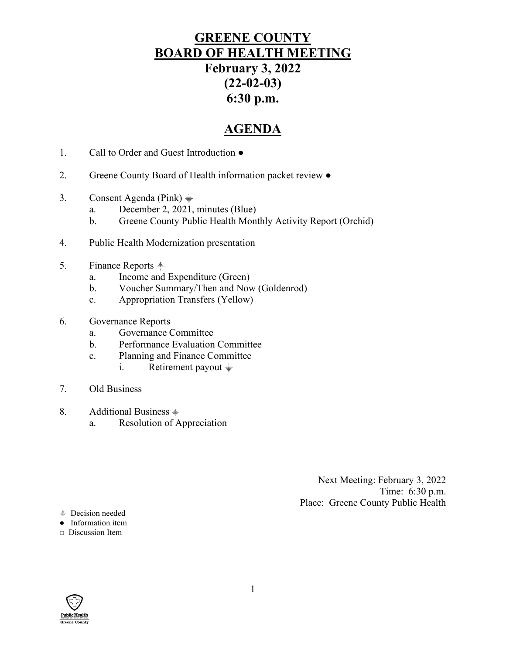# **GREENE COUNTY BOARD OF HEALTH MEETING February 3, 2022 (22-02-03) 6:30 p.m.**

# **AGENDA**

- 1. Call to Order and Guest Introduction ●
- 2. Greene County Board of Health information packet review  $\bullet$
- 3. Consent Agenda (Pink)  $\frac{1}{2}$ 
	- a. December 2, 2021, minutes (Blue)
	- b. Greene County Public Health Monthly Activity Report (Orchid)
- 4. Public Health Modernization presentation
- 5. Finance Reports  $\stackrel{\text{\tiny def}}{=}$ 
	- a. Income and Expenditure (Green)
	- b. Voucher Summary/Then and Now (Goldenrod)
	- c. Appropriation Transfers (Yellow)
- 6. Governance Reports
	- a. Governance Committee
	- b. Performance Evaluation Committee
	- c. Planning and Finance Committee
		- i. Retirement payout  $\dot{a}$
- 7. Old Business
- 8. Additional Business  $\dot{\equiv}$ 
	- a. Resolution of Appreciation

Next Meeting: February 3, 2022 Time: 6:30 p.m. Place: Greene County Public Health

⸎ Decision needed

● Information item

**□** Discussion Item

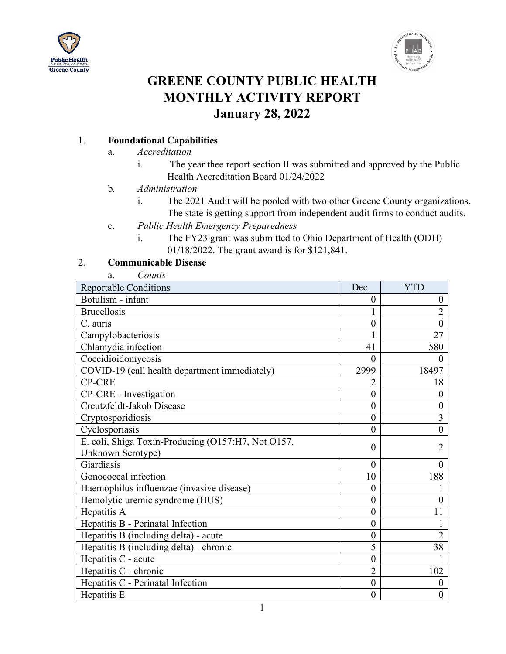



# **GREENE COUNTY PUBLIC HEALTH MONTHLY ACTIVITY REPORT January 28, 2022**

## 1. **Foundational Capabilities**

- a. *Accreditation*
	- i. The year thee report section II was submitted and approved by the Public Health Accreditation Board 01/24/2022
- b*. Administration*
	- i. The 2021 Audit will be pooled with two other Greene County organizations. The state is getting support from independent audit firms to conduct audits.
- c. *Public Health Emergency Preparedness*
	- i. The FY23 grant was submitted to Ohio Department of Health (ODH) 01/18/2022. The grant award is for \$121,841.

#### 2. **Communicable Disease**

| Counts<br>a.                                       |                  |                  |
|----------------------------------------------------|------------------|------------------|
| <b>Reportable Conditions</b>                       | Dec              | <b>YTD</b>       |
| Botulism - infant                                  | $\boldsymbol{0}$ | $\boldsymbol{0}$ |
| <b>Brucellosis</b>                                 |                  | $\overline{2}$   |
| C. auris                                           | $\overline{0}$   | $\overline{0}$   |
| Campylobacteriosis                                 |                  | 27               |
| Chlamydia infection                                | 41               | 580              |
| Coccidioidomycosis                                 | $\theta$         | $\theta$         |
| COVID-19 (call health department immediately)      | 2999             | 18497            |
| <b>CP-CRE</b>                                      | $\overline{2}$   | 18               |
| CP-CRE - Investigation                             | $\theta$         | $\theta$         |
| Creutzfeldt-Jakob Disease                          | $\overline{0}$   | $\overline{0}$   |
| Cryptosporidiosis                                  | $\overline{0}$   | 3                |
| Cyclosporiasis                                     | $\theta$         | $\overline{0}$   |
| E. coli, Shiga Toxin-Producing (O157:H7, Not O157, | $\overline{0}$   | $\overline{2}$   |
| Unknown Serotype)                                  |                  |                  |
| Giardiasis                                         | $\overline{0}$   | $\theta$         |
| Gonococcal infection                               | 10               | 188              |
| Haemophilus influenzae (invasive disease)          | $\overline{0}$   |                  |
| Hemolytic uremic syndrome (HUS)                    | $\theta$         | $\theta$         |
| Hepatitis A                                        | $\overline{0}$   | 11               |
| Hepatitis B - Perinatal Infection                  | $\overline{0}$   |                  |
| Hepatitis B (including delta) - acute              | $\theta$         | $\overline{2}$   |
| Hepatitis B (including delta) - chronic            | 5                | 38               |
| Hepatitis C - acute                                | $\theta$         |                  |
| Hepatitis C - chronic                              | $\overline{2}$   | 102              |
| Hepatitis C - Perinatal Infection                  | $\overline{0}$   | $\overline{0}$   |
| Hepatitis E                                        | $\theta$         | 0                |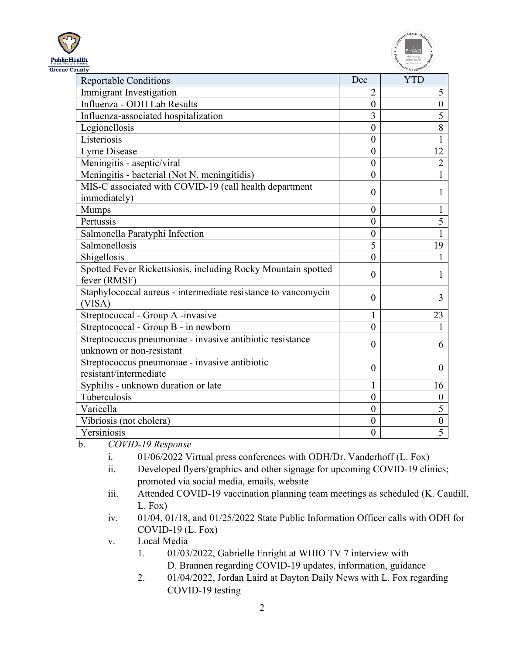| Public Health        |
|----------------------|
| <b>Greene County</b> |



| <b>Reportable Conditions</b>                                                          | Dec              | <b>YTD</b>       |
|---------------------------------------------------------------------------------------|------------------|------------------|
| Immigrant Investigation                                                               | $\overline{2}$   | 5                |
| Influenza - ODH Lab Results                                                           | $\boldsymbol{0}$ | $\boldsymbol{0}$ |
| Influenza-associated hospitalization                                                  | 3                | 5                |
| Legionellosis                                                                         | $\overline{0}$   | 8                |
| Listeriosis                                                                           | $\boldsymbol{0}$ |                  |
| Lyme Disease                                                                          | $\boldsymbol{0}$ | 12               |
| Meningitis - aseptic/viral                                                            | $\overline{0}$   | $\overline{2}$   |
| Meningitis - bacterial (Not N. meningitidis)                                          | $\overline{0}$   |                  |
| MIS-C associated with COVID-19 (call health department<br>immediately)                | $\theta$         |                  |
| <b>Mumps</b>                                                                          | $\theta$         |                  |
| Pertussis                                                                             | $\overline{0}$   | 5                |
| Salmonella Paratyphi Infection                                                        | $\boldsymbol{0}$ | 1                |
| Salmonellosis                                                                         | 5                | 19               |
| Shigellosis                                                                           | $\theta$         |                  |
| Spotted Fever Rickettsiosis, including Rocky Mountain spotted<br>fever (RMSF)         | $\theta$         | 1                |
| Staphylococcal aureus - intermediate resistance to vancomycin<br>(VISA)               | $\theta$         | 3                |
| Streptococcal - Group A -invasive                                                     |                  | 23               |
| Streptococcal - Group B - in newborn                                                  | $\overline{0}$   | 1                |
| Streptococcus pneumoniae - invasive antibiotic resistance<br>unknown or non-resistant | $\theta$         | 6                |
| Streptococcus pneumoniae - invasive antibiotic<br>resistant/intermediate              | $\theta$         | $\Omega$         |
| Syphilis - unknown duration or late                                                   | 1                | 16               |
| Tuberculosis                                                                          | $\overline{0}$   | $\overline{0}$   |
| Varicella                                                                             | $\overline{0}$   | 5                |
| Vibriosis (not cholera)                                                               | $\boldsymbol{0}$ | $\boldsymbol{0}$ |
| Yersiniosis                                                                           | $\overline{0}$   | 5                |

b. *COVID-19 Response*

- i. 01/06/2022 Virtual press conferences with ODH/Dr. Vanderhoff (L. Fox)
- ii. Developed flyers/graphics and other signage for upcoming COVID-19 clinics; promoted via social media, emails, website
- iii. Attended COVID-19 vaccination planning team meetings as scheduled (K. Caudill, L. Fox)
- iv. 01/04, 01/18, and 01/25/2022 State Public Information Officer calls with ODH for COVID-19 (L. Fox)

v. Local Media

- 1. 01/03/2022, Gabrielle Enright at WHIO TV 7 interview with D. Brannen regarding COVID-19 updates, information, guidance
- 2. 01/04/2022, Jordan Laird at Dayton Daily News with L. Fox regarding COVID-19 testing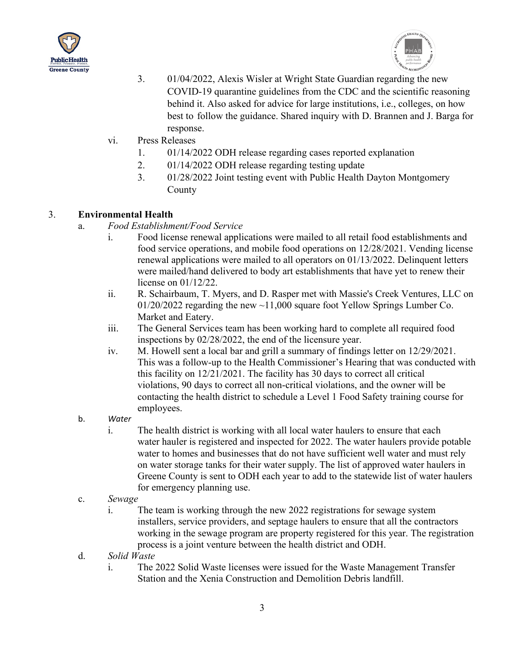



- 3. 01/04/2022, Alexis Wisler at Wright State Guardian regarding the new COVID-19 quarantine guidelines from the CDC and the scientific reasoning behind it. Also asked for advice for large institutions, i.e., colleges, on how best to follow the guidance. Shared inquiry with D. Brannen and J. Barga for response.
- vi. Press Releases
	- 1. 01/14/2022 ODH release regarding cases reported explanation
	- 2. 01/14/2022 ODH release regarding testing update
	- 3. 01/28/2022 Joint testing event with Public Health Dayton Montgomery County

#### 3. **Environmental Health**

- a. *Food Establishment/Food Service*
	- i. Food license renewal applications were mailed to all retail food establishments and food service operations, and mobile food operations on 12/28/2021. Vending license renewal applications were mailed to all operators on 01/13/2022. Delinquent letters were mailed/hand delivered to body art establishments that have yet to renew their license on 01/12/22.
	- ii. R. Schairbaum, T. Myers, and D. Rasper met with Massie's Creek Ventures, LLC on  $01/20/2022$  regarding the new  $\sim$ 11,000 square foot Yellow Springs Lumber Co. Market and Eatery.
	- iii. The General Services team has been working hard to complete all required food inspections by 02/28/2022, the end of the licensure year.
	- iv. M. Howell sent a local bar and grill a summary of findings letter on 12/29/2021. This was a follow-up to the Health Commissioner's Hearing that was conducted with this facility on 12/21/2021. The facility has 30 days to correct all critical violations, 90 days to correct all non-critical violations, and the owner will be contacting the health district to schedule a Level 1 Food Safety training course for employees.
- b. *Water*
	- i. The health district is working with all local water haulers to ensure that each water hauler is registered and inspected for 2022. The water haulers provide potable water to homes and businesses that do not have sufficient well water and must rely on water storage tanks for their water supply. The list of approved water haulers in Greene County is sent to ODH each year to add to the statewide list of water haulers for emergency planning use.
- c. *Sewage*
	- i. The team is working through the new 2022 registrations for sewage system installers, service providers, and septage haulers to ensure that all the contractors working in the sewage program are property registered for this year. The registration process is a joint venture between the health district and ODH.
- d. *Solid Waste*
	- i. The 2022 Solid Waste licenses were issued for the Waste Management Transfer Station and the Xenia Construction and Demolition Debris landfill.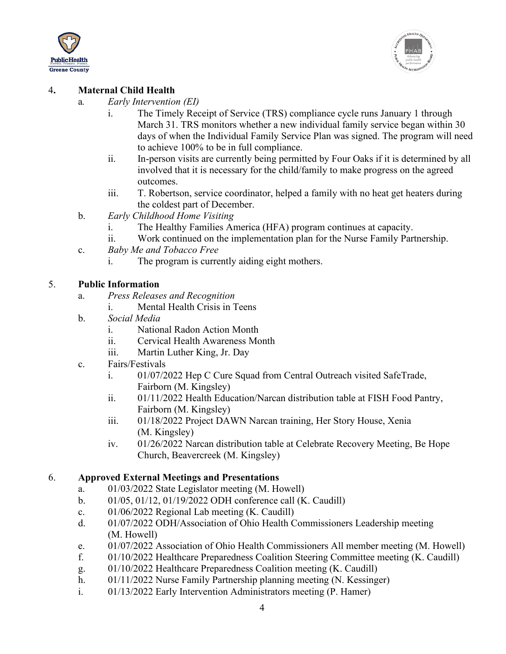



#### 4**. Maternal Child Health**

- a*. Early Intervention (EI)*
	- i. The Timely Receipt of Service (TRS) compliance cycle runs January 1 through March 31. TRS monitors whether a new individual family service began within 30 days of when the Individual Family Service Plan was signed. The program will need to achieve 100% to be in full compliance.
	- ii. In-person visits are currently being permitted by Four Oaks if it is determined by all involved that it is necessary for the child/family to make progress on the agreed outcomes.
	- iii. T. Robertson, service coordinator, helped a family with no heat get heaters during the coldest part of December.
- b. *Early Childhood Home Visiting*
	- i. The Healthy Families America (HFA) program continues at capacity.
	- ii. Work continued on the implementation plan for the Nurse Family Partnership.
- c. *Baby Me and Tobacco Free*
	- i. The program is currently aiding eight mothers.

#### 5. **Public Information**

- a. *Press Releases and Recognition*
	- i. Mental Health Crisis in Teens
- b. *Social Media*
	- i. National Radon Action Month
	- ii. Cervical Health Awareness Month
	- iii. Martin Luther King, Jr. Day
- c. Fairs/Festivals
	- i. 01/07/2022 Hep C Cure Squad from Central Outreach visited SafeTrade, Fairborn (M. Kingsley)
	- ii. 01/11/2022 Health Education/Narcan distribution table at FISH Food Pantry, Fairborn (M. Kingsley)
	- iii. 01/18/2022 Project DAWN Narcan training, Her Story House, Xenia (M. Kingsley)
	- iv. 01/26/2022 Narcan distribution table at Celebrate Recovery Meeting, Be Hope Church, Beavercreek (M. Kingsley)

#### 6. **Approved External Meetings and Presentations**

- a. 01/03/2022 State Legislator meeting (M. Howell)
- b. 01/05, 01/12, 01/19/2022 ODH conference call (K. Caudill)
- c. 01/06/2022 Regional Lab meeting (K. Caudill)
- d. 01/07/2022 ODH/Association of Ohio Health Commissioners Leadership meeting (M. Howell)
- e. 01/07/2022 Association of Ohio Health Commissioners All member meeting (M. Howell)
- f. 01/10/2022 Healthcare Preparedness Coalition Steering Committee meeting (K. Caudill)
- g. 01/10/2022 Healthcare Preparedness Coalition meeting (K. Caudill)
- h. 01/11/2022 Nurse Family Partnership planning meeting (N. Kessinger)
- i. 01/13/2022 Early Intervention Administrators meeting (P. Hamer)